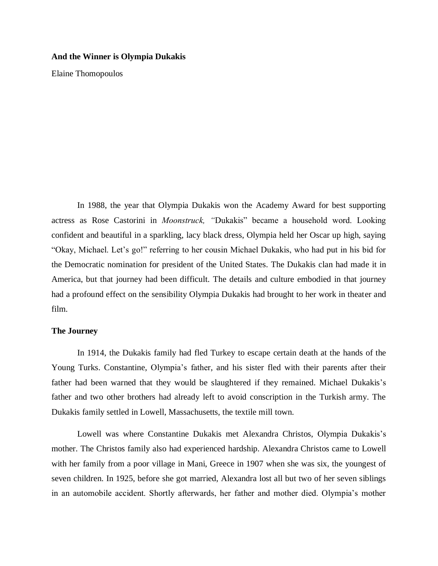## **And the Winner is Olympia Dukakis**

Elaine Thomopoulos

In 1988, the year that Olympia Dukakis won the Academy Award for best supporting actress as Rose Castorini in *Moonstruck, "*Dukakis" became a household word. Looking confident and beautiful in a sparkling, lacy black dress, Olympia held her Oscar up high, saying "Okay, Michael. Let's go!" referring to her cousin Michael Dukakis, who had put in his bid for the Democratic nomination for president of the United States. The Dukakis clan had made it in America, but that journey had been difficult. The details and culture embodied in that journey had a profound effect on the sensibility Olympia Dukakis had brought to her work in theater and film.

## **The Journey**

In 1914, the Dukakis family had fled Turkey to escape certain death at the hands of the Young Turks. Constantine, Olympia's father, and his sister fled with their parents after their father had been warned that they would be slaughtered if they remained. Michael Dukakis's father and two other brothers had already left to avoid conscription in the Turkish army. The Dukakis family settled in Lowell, Massachusetts, the textile mill town.

Lowell was where Constantine Dukakis met Alexandra Christos, Olympia Dukakis's mother. The Christos family also had experienced hardship. Alexandra Christos came to Lowell with her family from a poor village in Mani, Greece in 1907 when she was six, the youngest of seven children. In 1925, before she got married, Alexandra lost all but two of her seven siblings in an automobile accident. Shortly afterwards, her father and mother died. Olympia's mother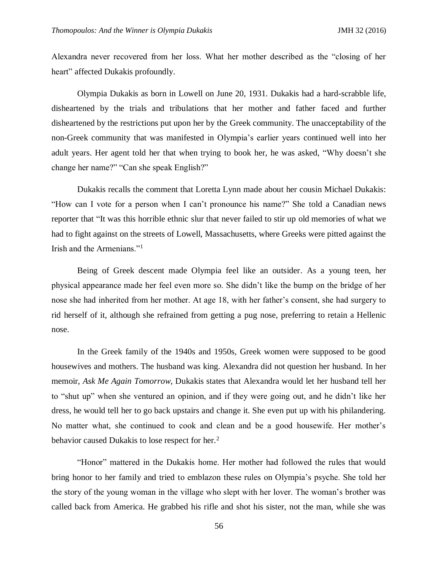Alexandra never recovered from her loss. What her mother described as the "closing of her heart" affected Dukakis profoundly.

Olympia Dukakis as born in Lowell on June 20, 1931. Dukakis had a hard-scrabble life, disheartened by the trials and tribulations that her mother and father faced and further disheartened by the restrictions put upon her by the Greek community. The unacceptability of the non-Greek community that was manifested in Olympia's earlier years continued well into her adult years. Her agent told her that when trying to book her, he was asked, "Why doesn't she change her name?" "Can she speak English?"

Dukakis recalls the comment that Loretta Lynn made about her cousin Michael Dukakis: "How can I vote for a person when I can't pronounce his name?" She told a Canadian news reporter that "It was this horrible ethnic slur that never failed to stir up old memories of what we had to fight against on the streets of Lowell, Massachusetts, where Greeks were pitted against the Irish and the Armenians."<sup>1</sup>

Being of Greek descent made Olympia feel like an outsider. As a young teen, her physical appearance made her feel even more so. She didn't like the bump on the bridge of her nose she had inherited from her mother. At age 18, with her father's consent, she had surgery to rid herself of it, although she refrained from getting a pug nose, preferring to retain a Hellenic nose.

In the Greek family of the 1940s and 1950s, Greek women were supposed to be good housewives and mothers. The husband was king. Alexandra did not question her husband. In her memoir, *Ask Me Again Tomorrow*, Dukakis states that Alexandra would let her husband tell her to "shut up" when she ventured an opinion, and if they were going out, and he didn't like her dress, he would tell her to go back upstairs and change it. She even put up with his philandering. No matter what, she continued to cook and clean and be a good housewife. Her mother's behavior caused Dukakis to lose respect for her.<sup>2</sup>

"Honor" mattered in the Dukakis home. Her mother had followed the rules that would bring honor to her family and tried to emblazon these rules on Olympia's psyche. She told her the story of the young woman in the village who slept with her lover. The woman's brother was called back from America. He grabbed his rifle and shot his sister, not the man, while she was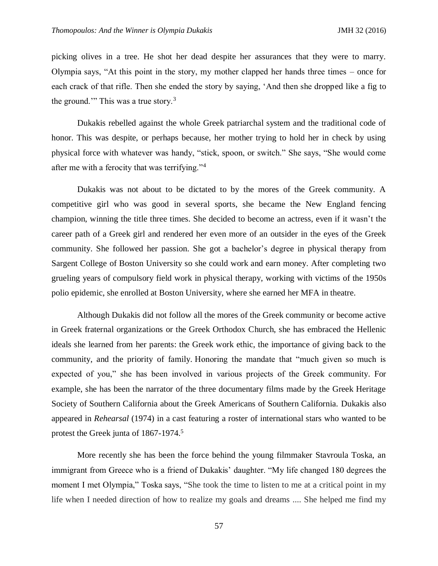picking olives in a tree. He shot her dead despite her assurances that they were to marry. Olympia says, "At this point in the story, my mother clapped her hands three times – once for each crack of that rifle. Then she ended the story by saying, 'And then she dropped like a fig to the ground.'" This was a true story.<sup>3</sup>

Dukakis rebelled against the whole Greek patriarchal system and the traditional code of honor. This was despite, or perhaps because, her mother trying to hold her in check by using physical force with whatever was handy, "stick, spoon, or switch." She says, "She would come after me with a ferocity that was terrifying."<sup>4</sup>

Dukakis was not about to be dictated to by the mores of the Greek community. A competitive girl who was good in several sports, she became the New England fencing champion, winning the title three times. She decided to become an actress, even if it wasn't the career path of a Greek girl and rendered her even more of an outsider in the eyes of the Greek community. She followed her passion. She got a bachelor's degree in physical therapy from Sargent College of Boston University so she could work and earn money. After completing two grueling years of compulsory field work in physical therapy, working with victims of the 1950s polio epidemic, she enrolled at Boston University, where she earned her MFA in theatre.

Although Dukakis did not follow all the mores of the Greek community or become active in Greek fraternal organizations or the Greek Orthodox Church, she has embraced the Hellenic ideals she learned from her parents: the Greek work ethic, the importance of giving back to the community, and the priority of family. Honoring the mandate that "much given so much is expected of you," she has been involved in various projects of the Greek community. For example, she has been the narrator of the three documentary films made by the Greek Heritage Society of Southern California about the Greek Americans of Southern California. Dukakis also appeared in *Rehearsal* (1974) in a cast featuring a roster of international stars who wanted to be protest the Greek junta of 1867-1974.<sup>5</sup>

More recently she has been the force behind the young filmmaker Stavroula Toska, an immigrant from Greece who is a friend of Dukakis' daughter. "My life changed 180 degrees the moment I met Olympia," Toska says, "She took the time to listen to me at a critical point in my life when I needed direction of how to realize my goals and dreams .... She helped me find my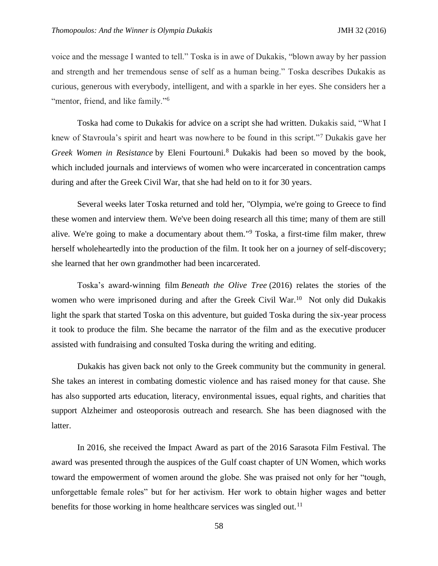voice and the message I wanted to tell." Toska is in awe of Dukakis, "blown away by her passion and strength and her tremendous sense of self as a human being." Toska describes Dukakis as curious, generous with everybody, intelligent, and with a sparkle in her eyes. She considers her a "mentor, friend, and like family."<sup>6</sup>

Toska had come to Dukakis for advice on a script she had written. Dukakis said, "What I knew of Stavroula's spirit and heart was nowhere to be found in this script."<sup>7</sup> Dukakis gave her *Greek Women in Resistance* by Eleni Fourtouni.<sup>8</sup> Dukakis had been so moved by the book, which included journals and interviews of women who were incarcerated in concentration camps during and after the Greek Civil War, that she had held on to it for 30 years.

Several weeks later Toska returned and told her, "Olympia, we're going to Greece to find these women and interview them. We've been doing research all this time; many of them are still alive. We're going to make a documentary about them."<sup>9</sup> Toska, a first-time film maker, threw herself wholeheartedly into the production of the film. It took her on a journey of self-discovery; she learned that her own grandmother had been incarcerated.

Toska's award-winning film *Beneath the Olive Tree* (2016) relates the stories of the women who were imprisoned during and after the Greek Civil War.<sup>10</sup> Not only did Dukakis light the spark that started Toska on this adventure, but guided Toska during the six-year process it took to produce the film. She became the narrator of the film and as the executive producer assisted with fundraising and consulted Toska during the writing and editing.

Dukakis has given back not only to the Greek community but the community in general. She takes an interest in combating domestic violence and has raised money for that cause. She has also supported arts education, literacy, environmental issues, equal rights, and charities that support Alzheimer and osteoporosis outreach and research. She has been diagnosed with the latter.

In 2016, she received the Impact Award as part of the 2016 Sarasota Film Festival. The award was presented through the auspices of the Gulf coast chapter of UN Women, which works toward the empowerment of women around the globe. She was praised not only for her "tough, unforgettable female roles" but for her activism. Her work to obtain higher wages and better benefits for those working in home healthcare services was singled out.<sup>11</sup>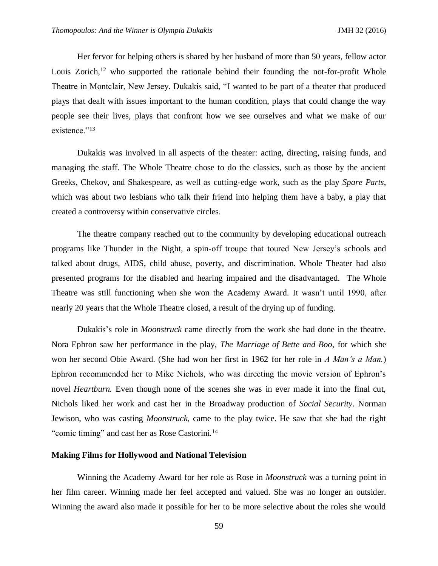Her fervor for helping others is shared by her husband of more than 50 years, fellow actor Louis Zorich, $12$  who supported the rationale behind their founding the not-for-profit Whole Theatre in Montclair, New Jersey. Dukakis said, "I wanted to be part of a theater that produced plays that dealt with issues important to the human condition, plays that could change the way people see their lives, plays that confront how we see ourselves and what we make of our existence."<sup>13</sup>

Dukakis was involved in all aspects of the theater: acting, directing, raising funds, and managing the staff. The Whole Theatre chose to do the classics, such as those by the ancient Greeks, Chekov, and Shakespeare, as well as cutting-edge work, such as the play *Spare Parts*, which was about two lesbians who talk their friend into helping them have a baby, a play that created a controversy within conservative circles.

The theatre company reached out to the community by developing educational outreach programs like Thunder in the Night, a spin-off troupe that toured New Jersey's schools and talked about drugs, AIDS, child abuse, poverty, and discrimination. Whole Theater had also presented programs for the disabled and hearing impaired and the disadvantaged. The Whole Theatre was still functioning when she won the Academy Award. It wasn't until 1990, after nearly 20 years that the Whole Theatre closed, a result of the drying up of funding.

Dukakis's role in *Moonstruck* came directly from the work she had done in the theatre. Nora Ephron saw her performance in the play, *The Marriage of Bette and Boo,* for which she won her second Obie Award. (She had won her first in 1962 for her role in *A Man's a Man.*) Ephron recommended her to Mike Nichols, who was directing the movie version of Ephron's novel *Heartburn*. Even though none of the scenes she was in ever made it into the final cut, Nichols liked her work and cast her in the Broadway production of *Social Security*. Norman Jewison, who was casting *Moonstruck*, came to the play twice. He saw that she had the right "comic timing" and cast her as Rose Castorini.<sup>14</sup>

## **Making Films for Hollywood and National Television**

Winning the Academy Award for her role as Rose in *Moonstruck* was a turning point in her film career. Winning made her feel accepted and valued. She was no longer an outsider. Winning the award also made it possible for her to be more selective about the roles she would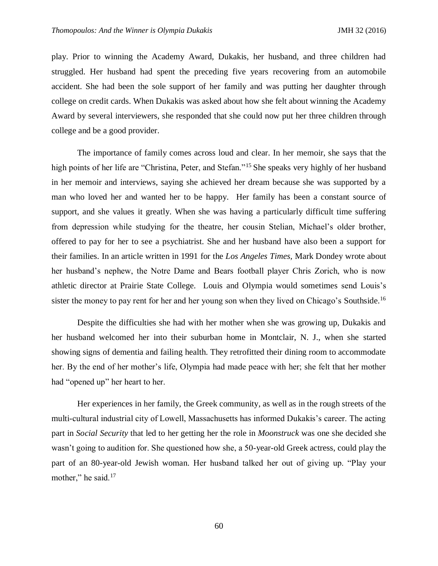play. Prior to winning the Academy Award, Dukakis, her husband, and three children had struggled. Her husband had spent the preceding five years recovering from an automobile accident. She had been the sole support of her family and was putting her daughter through college on credit cards. When Dukakis was asked about how she felt about winning the Academy Award by several interviewers, she responded that she could now put her three children through college and be a good provider.

The importance of family comes across loud and clear. In her memoir, she says that the high points of her life are "Christina, Peter, and Stefan."<sup>15</sup> She speaks very highly of her husband in her memoir and interviews, saying she achieved her dream because she was supported by a man who loved her and wanted her to be happy. Her family has been a constant source of support, and she values it greatly. When she was having a particularly difficult time suffering from depression while studying for the theatre, her cousin Stelian, Michael's older brother, offered to pay for her to see a psychiatrist. She and her husband have also been a support for their families. In an article written in 1991 for the *Los Angeles Times,* Mark Dondey wrote about her husband's nephew, the Notre Dame and Bears football player Chris Zorich, who is now athletic director at Prairie State College. Louis and Olympia would sometimes send Louis's sister the money to pay rent for her and her young son when they lived on Chicago's Southside.<sup>16</sup>

Despite the difficulties she had with her mother when she was growing up, Dukakis and her husband welcomed her into their suburban home in Montclair, N. J., when she started showing signs of dementia and failing health. They retrofitted their dining room to accommodate her. By the end of her mother's life, Olympia had made peace with her; she felt that her mother had "opened up" her heart to her.

Her experiences in her family, the Greek community, as well as in the rough streets of the multi-cultural industrial city of Lowell, Massachusetts has informed Dukakis's career. The acting part in *Social Security* that led to her getting her the role in *Moonstruck* was one she decided she wasn't going to audition for. She questioned how she, a 50-year-old Greek actress, could play the part of an 80-year-old Jewish woman. Her husband talked her out of giving up. "Play your mother," he said.<sup>17</sup>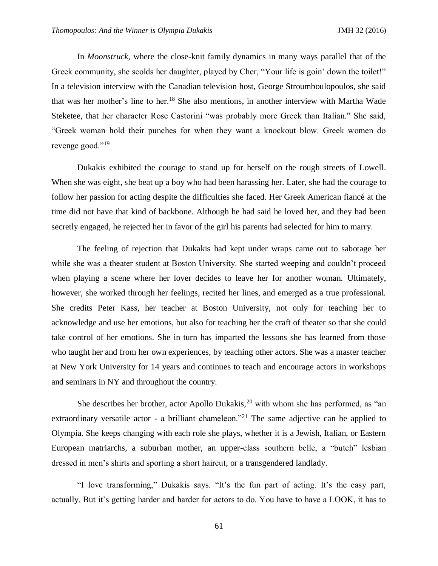In *Moonstruck*, where the close-knit family dynamics in many ways parallel that of the Greek community, she scolds her daughter, played by Cher, "Your life is goin' down the toilet!" In a television interview with the Canadian television host, George Stroumboulopoulos, she said that was her mother's line to her.<sup>18</sup> She also mentions, in another interview with Martha Wade Steketee, that her character Rose Castorini "was probably more Greek than Italian." She said, "Greek woman hold their punches for when they want a knockout blow. Greek women do revenge good."<sup>19</sup>

Dukakis exhibited the courage to stand up for herself on the rough streets of Lowell. When she was eight, she beat up a boy who had been harassing her. Later, she had the courage to follow her passion for acting despite the difficulties she faced. Her Greek American fiancé at the time did not have that kind of backbone. Although he had said he loved her, and they had been secretly engaged, he rejected her in favor of the girl his parents had selected for him to marry.

The feeling of rejection that Dukakis had kept under wraps came out to sabotage her while she was a theater student at Boston University. She started weeping and couldn't proceed when playing a scene where her lover decides to leave her for another woman. Ultimately, however, she worked through her feelings, recited her lines, and emerged as a true professional. She credits Peter Kass, her teacher at Boston University, not only for teaching her to acknowledge and use her emotions, but also for teaching her the craft of theater so that she could take control of her emotions. She in turn has imparted the lessons she has learned from those who taught her and from her own experiences, by teaching other actors. She was a master teacher at New York University for 14 years and continues to teach and encourage actors in workshops and seminars in NY and throughout the country.

She describes her brother, actor Apollo Dukakis,  $20$  with whom she has performed, as "an extraordinary versatile actor - a brilliant chameleon.<sup>"21</sup> The same adjective can be applied to Olympia. She keeps changing with each role she plays, whether it is a Jewish, Italian, or Eastern European matriarchs, a suburban mother, an upper-class southern belle, a "butch" lesbian dressed in men's shirts and sporting a short haircut, or a transgendered landlady.

"I love transforming," Dukakis says. "It's the fun part of acting. It's the easy part, actually. But it's getting harder and harder for actors to do. You have to have a LOOK, it has to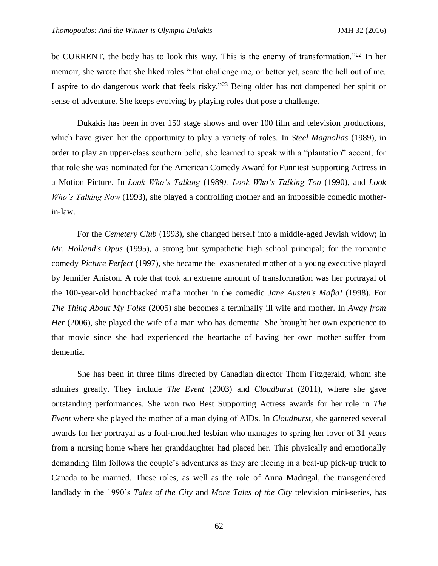be CURRENT, the body has to look this way. This is the enemy of transformation."<sup>22</sup> In her memoir, she wrote that she liked roles "that challenge me, or better yet, scare the hell out of me. I aspire to do dangerous work that feels risky."<sup>23</sup> Being older has not dampened her spirit or sense of adventure. She keeps evolving by playing roles that pose a challenge.

Dukakis has been in over 150 stage shows and over 100 film and television productions, which have given her the opportunity to play a variety of roles. In *[Steel Magnolias](https://en.wikipedia.org/wiki/Steel_Magnolias)* (1989), in order to play an upper-class southern belle, she learned to speak with a "plantation" accent; for that role she was nominated for the [American Comedy Award for Funniest Supporting Actress in](https://en.wikipedia.org/wiki/American_Comedy_Awards)  [a Motion Picture.](https://en.wikipedia.org/wiki/American_Comedy_Awards) In *Look Who's Talking* (1989*), Look Who's Talking Too* (1990), and *Look Who's Talking Now* (1993), she played a controlling mother and an impossible comedic motherin-law.

For the *Cemetery Club* (1993), she changed herself into a middle-aged Jewish widow; in *[Mr. Holland's Opus](https://en.wikipedia.org/wiki/Mr._Holland%27s_Opus)* (1995), a strong but sympathetic high school principal; for the romantic comedy *Picture Perfect* (1997), she became the exasperated mother of a young executive played by Jennifer Aniston. A role that took an extreme amount of transformation was her portrayal of the 100-year-old hunchbacked mafia mother in the comedic *[Jane Austen's Mafia!](https://en.wikipedia.org/wiki/Jane_Austen%27s_Mafia!)* (1998). For *[The Thing About My Folks](https://en.wikipedia.org/wiki/The_Thing_About_My_Folks)* (2005) she becomes a terminally ill wife and mother. In *Away from Her* (2006), she played the wife of a man who has dementia. She brought her own experience to that movie since she had experienced the heartache of having her own mother suffer from dementia.

She has been in three films directed by Canadian director Thom Fitzgerald, whom she admires greatly. They include *The Event* (2003) and *Cloudburst* (2011), where she gave outstanding performances. She won two Best Supporting Actress awards for her role in *The Event* where she played the mother of a man dying of AIDs. In *Cloudburst,* she garnered several awards for her portrayal as a foul-mouthed lesbian who manages to spring her lover of 31 years from a nursing home where her granddaughter had placed her. This physically and emotionally demanding film follows the couple's adventures as they are fleeing in a beat-up pick-up truck to Canada to be married. These roles, as well as the role of Anna Madrigal, the transgendered landlady in the 1990's *Tales of the City* and *More Tales of the City* television mini-series, has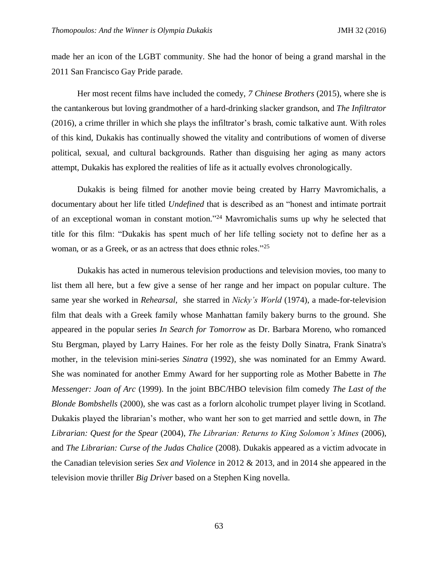made her an icon of the LGBT community. She had the honor of being a grand marshal in the 2011 San Francisco Gay Pride parade.

Her most recent films have included the comedy, *7 Chinese Brothers* (2015), where she is the cantankerous but loving grandmother of a hard-drinking slacker grandson, and *The Infiltrator* (2016), a crime thriller in which she plays the infiltrator's brash, comic talkative aunt. With roles of this kind, Dukakis has continually showed the vitality and contributions of women of diverse political, sexual, and cultural backgrounds. Rather than disguising her aging as many actors attempt, Dukakis has explored the realities of life as it actually evolves chronologically.

Dukakis is being filmed for another movie being created by Harry Mavromichalis, a documentary about her life titled *Undefined* that is described as an "honest and intimate portrait of an exceptional woman in constant motion." <sup>24</sup> Mavromichalis sums up why he selected that title for this film: "Dukakis has spent much of her life telling society not to define her as a woman, or as a Greek, or as an actress that does ethnic roles."<sup>25</sup>

Dukakis has acted in numerous television productions and television movies, too many to list them all here, but a few give a sense of her range and her impact on popular culture. The same year she worked in *Rehearsal*, she starred in *Nicky's World* (1974), a made-for-television film that deals with a Greek family whose Manhattan family bakery burns to the ground. She appeared in the popular series *In [Search for Tomorrow](https://en.wikipedia.org/wiki/Search_for_Tomorrow)* as Dr. Barbara Moreno, who romanced Stu Bergman, played by [Larry Haines.](https://en.wikipedia.org/wiki/Larry_Haines) For her role as the feisty Dolly Sinatra, [Frank](https://en.wikipedia.org/wiki/Frank_Sinatra) Sinatra's mother, in the television mini-series *Sinatra* (1992), she was nominated for an Emmy Award. She was nominated for another Emmy Award for her supporting role as Mother Babette in *The Messenger: Joan of Arc* (1999). In the joint BBC/HBO television film comedy *The Last of the Blonde Bombshells* (2000), she was cast as a forlorn alcoholic trumpet player living in Scotland. Dukakis played the librarian's mother, who want her son to get married and settle down, in *[The](https://en.wikipedia.org/wiki/The_Librarian:_Quest_for_the_Spear)  [Librarian: Quest for the Spear](https://en.wikipedia.org/wiki/The_Librarian:_Quest_for_the_Spear)* (2004), *The Librarian: Returns to King Solomon's Mines* (2006), and *[The Librarian: Curse of the Judas Chalice](https://en.wikipedia.org/wiki/The_Librarian:_Curse_of_the_Judas_Chalice)* (2008). Dukakis appeared as a victim advocate in the Canadian television series *Sex and Violence* in 2012 & 2013*,* and in 2014 she appeared in the television movie thriller *Big Driver* based on a Stephen King novella.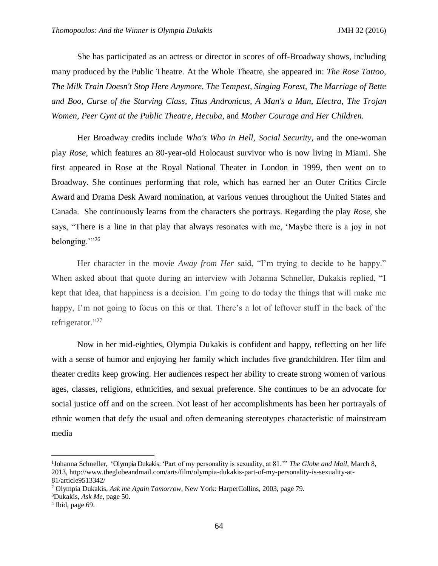She has participated as an actress or director in scores of off-Broadway shows, including many produced by the Public Theatre. At the Whole Theatre, she appeared in: *The Rose Tattoo*, *The Milk Train Doesn't Stop Here Anymore, The Tempest, Singing Forest, The Marriage of Bette and Boo, Curse of the Starving Class, Titus Andronicus, A Man's a Man, Electra*, *The Trojan Women*, *Peer Gynt at the Public Theatre, Hecuba*, and *Mother Courage and Her Children.* 

Her [Broadway c](https://en.wikipedia.org/wiki/Broadway_theatre)redits include *Who's Who in Hell*, *[Social Security](https://en.wikipedia.org/wiki/Social_Security_(play))*, and the one-woman play *Rose,* which features an 80-year-old Holocaust survivor who is now living in Miami. She first appeared in Rose at the Royal National Theater in London in 1999, then went on to Broadway. She continues performing that role, which has earned her an Outer Critics Circle Award and Drama Desk Award nomination, at various venues throughout the United States and Canada. She continuously learns from the characters she portrays. Regarding the play *Rose,* she says, "There is a line in that play that always resonates with me, 'Maybe there is a joy in not belonging.'"<sup>26</sup>

Her character in the movie *Away from Her* said, "I'm trying to decide to be happy." When asked about that quote during an interview with Johanna Schneller, Dukakis replied, "I kept that idea, that happiness is a decision. I'm going to do today the things that will make me happy, I'm not going to focus on this or that. There's a lot of leftover stuff in the back of the refrigerator."<sup>27</sup>

Now in her mid-eighties, Olympia Dukakis is confident and happy, reflecting on her life with a sense of humor and enjoying her family which includes five grandchildren. Her film and theater credits keep growing. Her audiences respect her ability to create strong women of various ages, classes, religions, ethnicities, and sexual preference. She continues to be an advocate for social justice off and on the screen. Not least of her accomplishments has been her portrayals of ethnic women that defy the usual and often demeaning stereotypes characteristic of mainstream media

l

<sup>&</sup>lt;sup>1</sup>Johanna Schneller, "Olympia Dukakis: 'Part of my personality is sexuality, at 81."" *The Globe and Mail*, March 8, 2013, [http://www.theglobeandmail.com/arts/film/olympia-dukakis-part-of-my-personality-is-sexuality-at-](http://www.theglobeandmail.com/arts/film/olympia-dukakis-part-of-my-personality-is-sexuality-at-81/article9513342/)[81/article9513342/](http://www.theglobeandmail.com/arts/film/olympia-dukakis-part-of-my-personality-is-sexuality-at-81/article9513342/) 

<sup>2</sup> Olympia Dukakis, *Ask me Again Tomorrow*, New York: HarperCollins, 2003, page 79.

<sup>3</sup>Dukakis, *Ask Me*, page 50.

<sup>4</sup> Ibid, page 69.